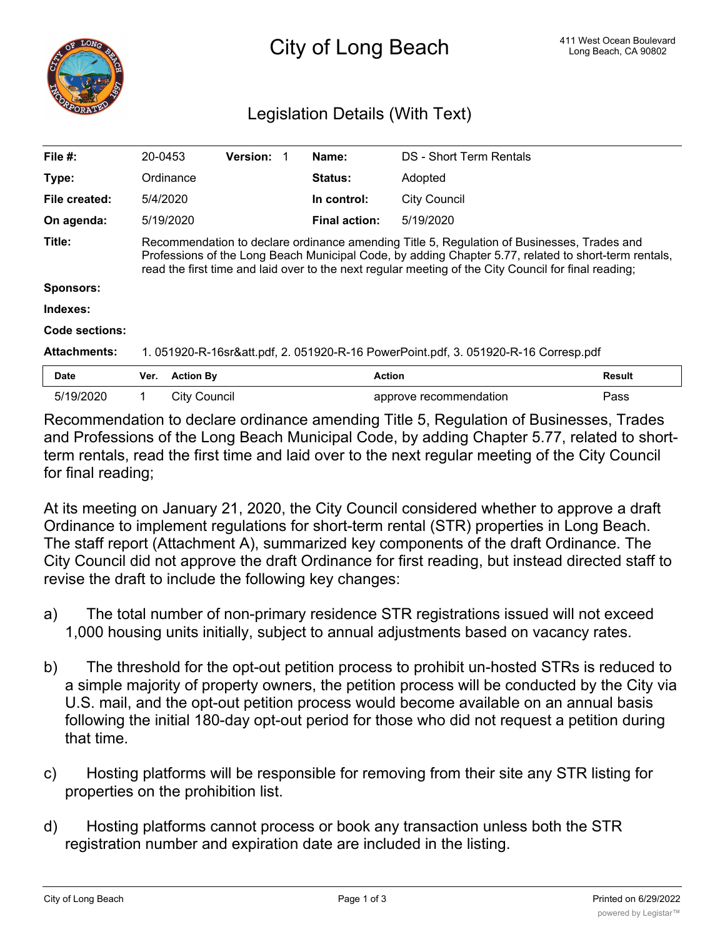

## Legislation Details (With Text)

| File $#$ :            | 20-0453                                                                                                                                                                                                                                                                                                    | <b>Version:</b> | Name:                | DS - Short Term Rentals |               |
|-----------------------|------------------------------------------------------------------------------------------------------------------------------------------------------------------------------------------------------------------------------------------------------------------------------------------------------------|-----------------|----------------------|-------------------------|---------------|
| Type:                 | Ordinance                                                                                                                                                                                                                                                                                                  |                 | <b>Status:</b>       | Adopted                 |               |
| File created:         | 5/4/2020                                                                                                                                                                                                                                                                                                   |                 | In control:          | <b>City Council</b>     |               |
| On agenda:            | 5/19/2020                                                                                                                                                                                                                                                                                                  |                 | <b>Final action:</b> | 5/19/2020               |               |
| Title:                | Recommendation to declare ordinance amending Title 5, Regulation of Businesses, Trades and<br>Professions of the Long Beach Municipal Code, by adding Chapter 5.77, related to short-term rentals,<br>read the first time and laid over to the next regular meeting of the City Council for final reading; |                 |                      |                         |               |
| <b>Sponsors:</b>      |                                                                                                                                                                                                                                                                                                            |                 |                      |                         |               |
| Indexes:              |                                                                                                                                                                                                                                                                                                            |                 |                      |                         |               |
| <b>Code sections:</b> |                                                                                                                                                                                                                                                                                                            |                 |                      |                         |               |
| <b>Attachments:</b>   | 1. 051920-R-16sr&att.pdf, 2. 051920-R-16 PowerPoint.pdf, 3. 051920-R-16 Corresp.pdf                                                                                                                                                                                                                        |                 |                      |                         |               |
| Date                  | <b>Action By</b><br>Ver.                                                                                                                                                                                                                                                                                   |                 |                      | Action                  | <b>Result</b> |
| 5/19/2020             | <b>City Council</b><br>1                                                                                                                                                                                                                                                                                   |                 |                      | approve recommendation  | Pass          |
|                       | .                                                                                                                                                                                                                                                                                                          |                 |                      | .                       |               |

Recommendation to declare ordinance amending Title 5, Regulation of Businesses, Trades and Professions of the Long Beach Municipal Code, by adding Chapter 5.77, related to shortterm rentals, read the first time and laid over to the next regular meeting of the City Council for final reading;

At its meeting on January 21, 2020, the City Council considered whether to approve a draft Ordinance to implement regulations for short-term rental (STR) properties in Long Beach. The staff report (Attachment A), summarized key components of the draft Ordinance. The City Council did not approve the draft Ordinance for first reading, but instead directed staff to revise the draft to include the following key changes:

- a) The total number of non-primary residence STR registrations issued will not exceed 1,000 housing units initially, subject to annual adjustments based on vacancy rates.
- b) The threshold for the opt-out petition process to prohibit un-hosted STRs is reduced to a simple majority of property owners, the petition process will be conducted by the City via U.S. mail, and the opt-out petition process would become available on an annual basis following the initial 180-day opt-out period for those who did not request a petition during that time.
- c) Hosting platforms will be responsible for removing from their site any STR listing for properties on the prohibition list.
- d) Hosting platforms cannot process or book any transaction unless both the STR registration number and expiration date are included in the listing.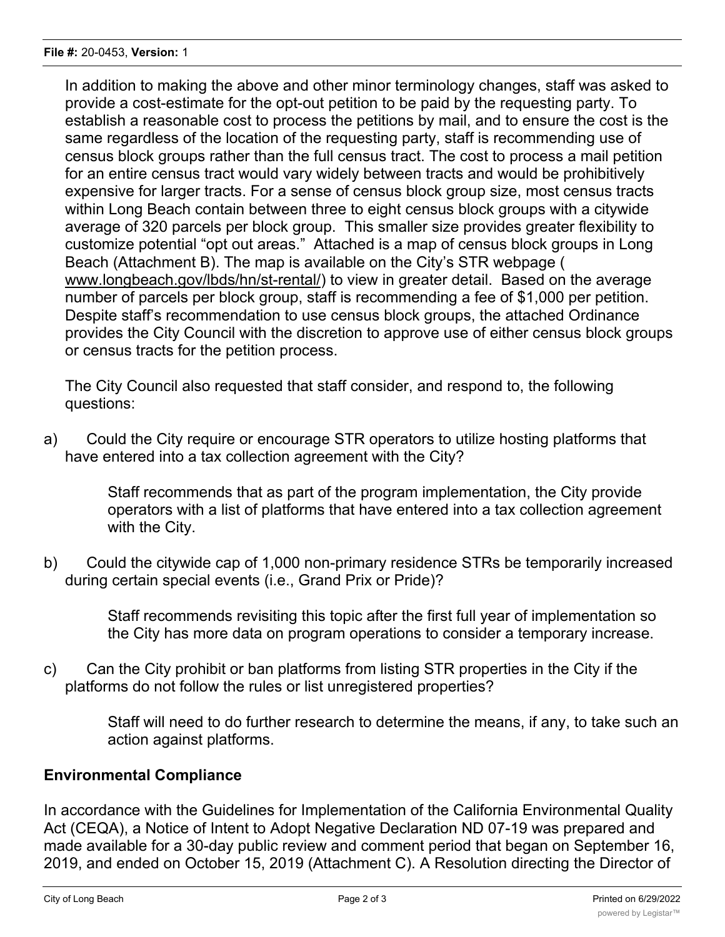In addition to making the above and other minor terminology changes, staff was asked to provide a cost-estimate for the opt-out petition to be paid by the requesting party. To establish a reasonable cost to process the petitions by mail, and to ensure the cost is the same regardless of the location of the requesting party, staff is recommending use of census block groups rather than the full census tract. The cost to process a mail petition for an entire census tract would vary widely between tracts and would be prohibitively expensive for larger tracts. For a sense of census block group size, most census tracts within Long Beach contain between three to eight census block groups with a citywide average of 320 parcels per block group. This smaller size provides greater flexibility to customize potential "opt out areas." Attached is a map of census block groups in Long Beach (Attachment B). The map is available on the City's STR webpage ( www.longbeach.gov/lbds/hn/st-rental/) to view in greater detail. Based on the average number of parcels per block group, staff is recommending a fee of \$1,000 per petition. Despite staff's recommendation to use census block groups, the attached Ordinance provides the City Council with the discretion to approve use of either census block groups or census tracts for the petition process.

The City Council also requested that staff consider, and respond to, the following questions:

a) Could the City require or encourage STR operators to utilize hosting platforms that have entered into a tax collection agreement with the City?

> Staff recommends that as part of the program implementation, the City provide operators with a list of platforms that have entered into a tax collection agreement with the City.

b) Could the citywide cap of 1,000 non-primary residence STRs be temporarily increased during certain special events (i.e., Grand Prix or Pride)?

Staff recommends revisiting this topic after the first full year of implementation so the City has more data on program operations to consider a temporary increase.

c) Can the City prohibit or ban platforms from listing STR properties in the City if the platforms do not follow the rules or list unregistered properties?

> Staff will need to do further research to determine the means, if any, to take such an action against platforms.

## **Environmental Compliance**

In accordance with the Guidelines for Implementation of the California Environmental Quality Act (CEQA), a Notice of Intent to Adopt Negative Declaration ND 07-19 was prepared and made available for a 30-day public review and comment period that began on September 16, 2019, and ended on October 15, 2019 (Attachment C). A Resolution directing the Director of